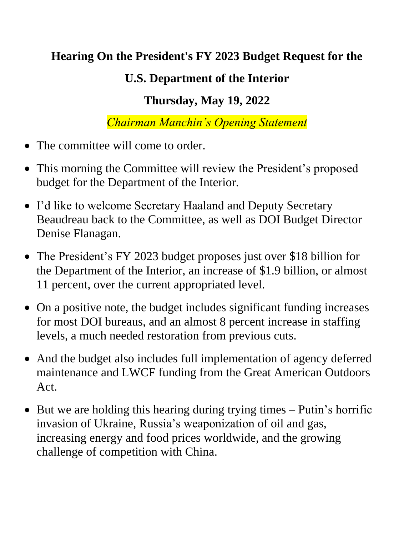## **Hearing On the President's FY 2023 Budget Request for the**

## **U.S. Department of the Interior**

## **Thursday, May 19, 2022**

*Chairman Manchin's Opening Statement*

- The committee will come to order.
- This morning the Committee will review the President's proposed budget for the Department of the Interior.
- I'd like to welcome Secretary Haaland and Deputy Secretary Beaudreau back to the Committee, as well as DOI Budget Director Denise Flanagan.
- The President's FY 2023 budget proposes just over \$18 billion for the Department of the Interior, an increase of \$1.9 billion, or almost 11 percent, over the current appropriated level.
- On a positive note, the budget includes significant funding increases for most DOI bureaus, and an almost 8 percent increase in staffing levels, a much needed restoration from previous cuts.
- And the budget also includes full implementation of agency deferred maintenance and LWCF funding from the Great American Outdoors Act.
- But we are holding this hearing during trying times Putin's horrific invasion of Ukraine, Russia's weaponization of oil and gas, increasing energy and food prices worldwide, and the growing challenge of competition with China.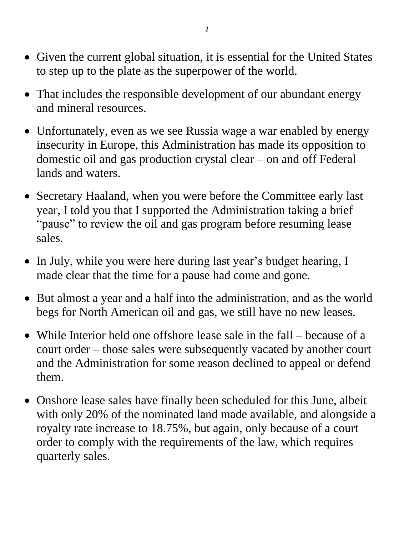- Given the current global situation, it is essential for the United States to step up to the plate as the superpower of the world.
- That includes the responsible development of our abundant energy and mineral resources.
- Unfortunately, even as we see Russia wage a war enabled by energy insecurity in Europe, this Administration has made its opposition to domestic oil and gas production crystal clear – on and off Federal lands and waters.
- Secretary Haaland, when you were before the Committee early last year, I told you that I supported the Administration taking a brief "pause" to review the oil and gas program before resuming lease sales.
- In July, while you were here during last year's budget hearing, I made clear that the time for a pause had come and gone.
- But almost a year and a half into the administration, and as the world begs for North American oil and gas, we still have no new leases.
- While Interior held one offshore lease sale in the fall because of a court order – those sales were subsequently vacated by another court and the Administration for some reason declined to appeal or defend them.
- Onshore lease sales have finally been scheduled for this June, albeit with only 20% of the nominated land made available, and alongside a royalty rate increase to 18.75%, but again, only because of a court order to comply with the requirements of the law, which requires quarterly sales.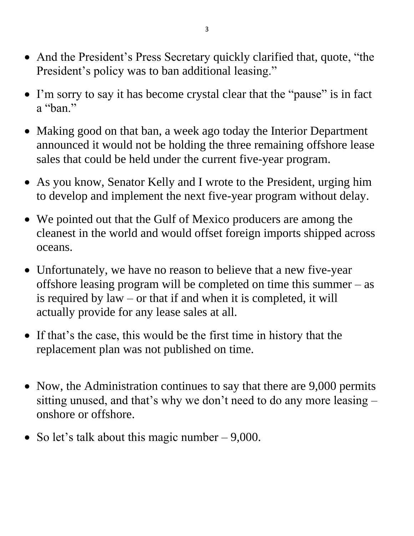- And the President's Press Secretary quickly clarified that, quote, "the President's policy was to ban additional leasing."
- I'm sorry to say it has become crystal clear that the "pause" is in fact a "ban."
- Making good on that ban, a week ago today the Interior Department announced it would not be holding the three remaining offshore lease sales that could be held under the current five-year program.
- As you know, Senator Kelly and I wrote to the President, urging him to develop and implement the next five-year program without delay.
- We pointed out that the Gulf of Mexico producers are among the cleanest in the world and would offset foreign imports shipped across oceans.
- Unfortunately, we have no reason to believe that a new five-year offshore leasing program will be completed on time this summer – as is required by law – or that if and when it is completed, it will actually provide for any lease sales at all.
- If that's the case, this would be the first time in history that the replacement plan was not published on time.
- Now, the Administration continues to say that there are 9,000 permits sitting unused, and that's why we don't need to do any more leasing – onshore or offshore.
- So let's talk about this magic number  $-9,000$ .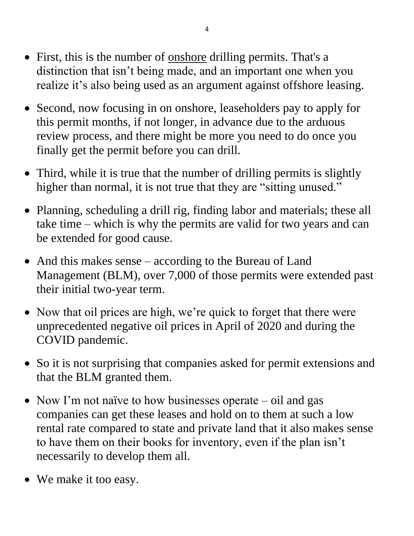- First, this is the number of <u>onshore</u> drilling permits. That's a distinction that isn't being made, and an important one when you realize it's also being used as an argument against offshore leasing.
- Second, now focusing in on onshore, leaseholders pay to apply for this permit months, if not longer, in advance due to the arduous review process, and there might be more you need to do once you finally get the permit before you can drill.
- Third, while it is true that the number of drilling permits is slightly higher than normal, it is not true that they are "sitting unused."
- Planning, scheduling a drill rig, finding labor and materials; these all take time – which is why the permits are valid for two years and can be extended for good cause.
- And this makes sense according to the Bureau of Land Management (BLM), over 7,000 of those permits were extended past their initial two-year term.
- Now that oil prices are high, we're quick to forget that there were unprecedented negative oil prices in April of 2020 and during the COVID pandemic.
- So it is not surprising that companies asked for permit extensions and that the BLM granted them.
- Now I'm not naïve to how businesses operate oil and gas companies can get these leases and hold on to them at such a low rental rate compared to state and private land that it also makes sense to have them on their books for inventory, even if the plan isn't necessarily to develop them all.
- We make it too easy.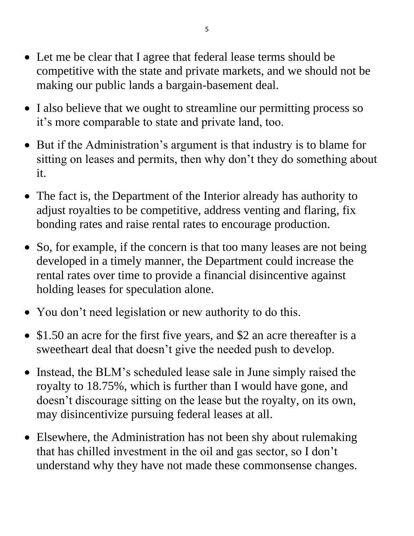- Let me be clear that I agree that federal lease terms should be competitive with the state and private markets, and we should not be making our public lands a bargain-basement deal.
- I also believe that we ought to streamline our permitting process so it's more comparable to state and private land, too.
- But if the Administration's argument is that industry is to blame for sitting on leases and permits, then why don't they do something about it.
- The fact is, the Department of the Interior already has authority to adjust royalties to be competitive, address venting and flaring, fix bonding rates and raise rental rates to encourage production.
- So, for example, if the concern is that too many leases are not being developed in a timely manner, the Department could increase the rental rates over time to provide a financial disincentive against holding leases for speculation alone.
- You don't need legislation or new authority to do this.
- \$1.50 an acre for the first five years, and \$2 an acre thereafter is a sweetheart deal that doesn't give the needed push to develop.
- Instead, the BLM's scheduled lease sale in June simply raised the royalty to 18.75%, which is further than I would have gone, and doesn't discourage sitting on the lease but the royalty, on its own, may disincentivize pursuing federal leases at all.
- Elsewhere, the Administration has not been shy about rulemaking that has chilled investment in the oil and gas sector, so I don't understand why they have not made these commonsense changes.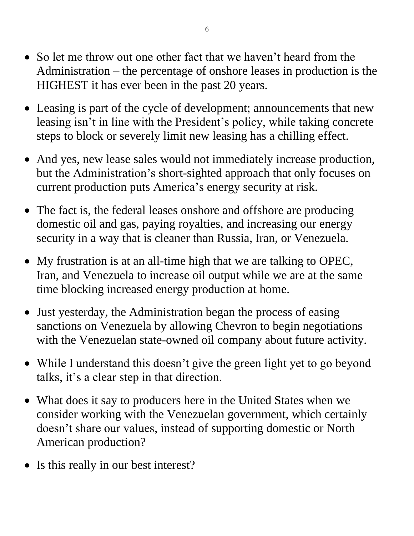- So let me throw out one other fact that we haven't heard from the Administration – the percentage of onshore leases in production is the HIGHEST it has ever been in the past 20 years.
- Leasing is part of the cycle of development; announcements that new leasing isn't in line with the President's policy, while taking concrete steps to block or severely limit new leasing has a chilling effect.
- And yes, new lease sales would not immediately increase production, but the Administration's short-sighted approach that only focuses on current production puts America's energy security at risk.
- The fact is, the federal leases onshore and offshore are producing domestic oil and gas, paying royalties, and increasing our energy security in a way that is cleaner than Russia, Iran, or Venezuela.
- My frustration is at an all-time high that we are talking to OPEC, Iran, and Venezuela to increase oil output while we are at the same time blocking increased energy production at home.
- Just yesterday, the Administration began the process of easing sanctions on Venezuela by allowing Chevron to begin negotiations with the Venezuelan state-owned oil company about future activity.
- While I understand this doesn't give the green light yet to go beyond talks, it's a clear step in that direction.
- What does it say to producers here in the United States when we consider working with the Venezuelan government, which certainly doesn't share our values, instead of supporting domestic or North American production?
- Is this really in our best interest?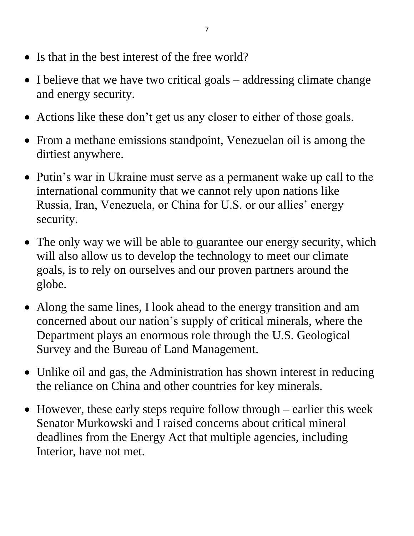- Is that in the best interest of the free world?
- I believe that we have two critical goals addressing climate change and energy security.
- Actions like these don't get us any closer to either of those goals.
- From a methane emissions standpoint, Venezuelan oil is among the dirtiest anywhere.
- Putin's war in Ukraine must serve as a permanent wake up call to the international community that we cannot rely upon nations like Russia, Iran, Venezuela, or China for U.S. or our allies' energy security.
- The only way we will be able to guarantee our energy security, which will also allow us to develop the technology to meet our climate goals, is to rely on ourselves and our proven partners around the globe.
- Along the same lines, I look ahead to the energy transition and am concerned about our nation's supply of critical minerals, where the Department plays an enormous role through the U.S. Geological Survey and the Bureau of Land Management.
- Unlike oil and gas, the Administration has shown interest in reducing the reliance on China and other countries for key minerals.
- However, these early steps require follow through earlier this week Senator Murkowski and I raised concerns about critical mineral deadlines from the Energy Act that multiple agencies, including Interior, have not met.